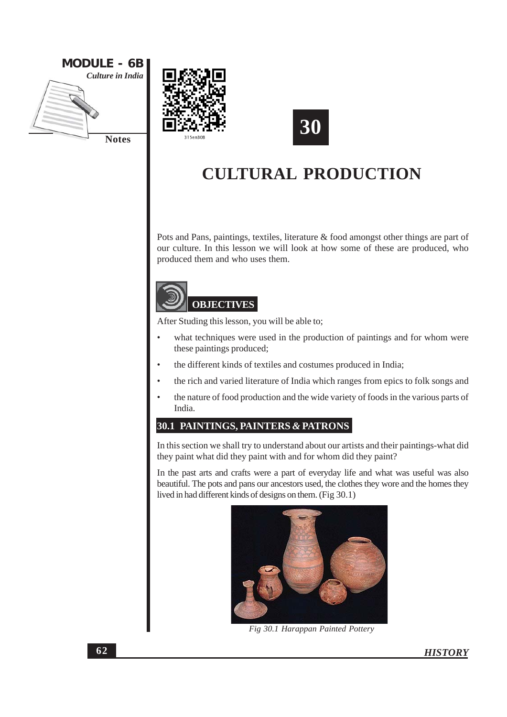





Pots and Pans, paintings, textiles, literature & food amongst other things are part of our culture. In this lesson we will look at how some of these are produced, who produced them and who uses them.



After Studing this lesson, you will be able to;

- what techniques were used in the production of paintings and for whom were  $\bullet$ these paintings produced;
- the different kinds of textiles and costumes produced in India;  $\bullet$
- the rich and varied literature of India which ranges from epics to folk songs and  $\ddot{\phantom{0}}$
- $\bullet$ the nature of food production and the wide variety of foods in the various parts of India.

#### 30.1 PAINTINGS, PAINTERS & PATRONS

In this section we shall try to understand about our artists and their paintings-what did they paint what did they paint with and for whom did they paint?

In the past arts and crafts were a part of everyday life and what was useful was also beautiful. The pots and pans our ancestors used, the clothes they wore and the homes they lived in had different kinds of designs on them. (Fig 30.1)



Fig 30.1 Harappan Painted Pottery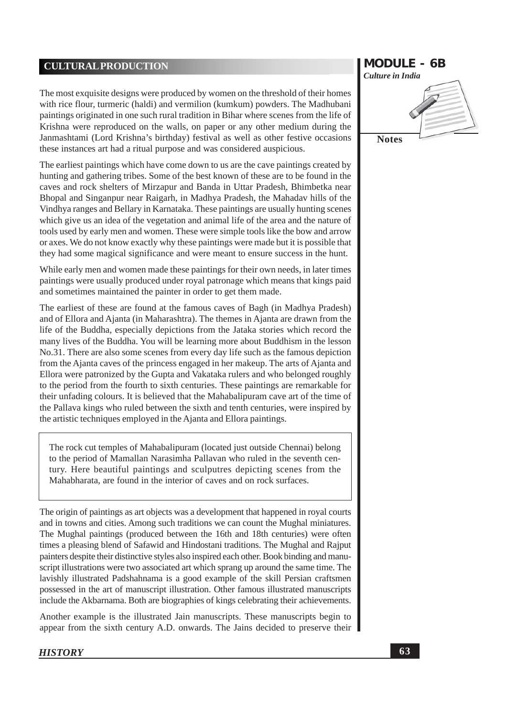The most exquisite designs were produced by women on the threshold of their homes with rice flour, turmeric (haldi) and vermilion (kumkum) powders. The Madhubani paintings originated in one such rural tradition in Bihar where scenes from the life of Krishna were reproduced on the walls, on paper or any other medium during the Janmashtami (Lord Krishna's birthday) festival as well as other festive occasions these instances art had a ritual purpose and was considered auspicious.

The earliest paintings which have come down to us are the cave paintings created by hunting and gathering tribes. Some of the best known of these are to be found in the caves and rock shelters of Mirzapur and Banda in Uttar Pradesh, Bhimbetka near Bhopal and Singanpur near Raigarh, in Madhya Pradesh, the Mahaday hills of the Vindhya ranges and Bellary in Karnataka. These paintings are usually hunting scenes which give us an idea of the vegetation and animal life of the area and the nature of tools used by early men and women. These were simple tools like the bow and arrow or axes. We do not know exactly why these paintings were made but it is possible that they had some magical significance and were meant to ensure success in the hunt.

While early men and women made these paintings for their own needs, in later times paintings were usually produced under royal patronage which means that kings paid and sometimes maintained the painter in order to get them made.

The earliest of these are found at the famous caves of Bagh (in Madhya Pradesh) and of Ellora and Ajanta (in Maharashtra). The themes in Ajanta are drawn from the life of the Buddha, especially depictions from the Jataka stories which record the many lives of the Buddha. You will be learning more about Buddhism in the lesson No.31. There are also some scenes from every day life such as the famous depiction from the Ajanta caves of the princess engaged in her makeup. The arts of Ajanta and Ellora were patronized by the Gupta and Vakataka rulers and who belonged roughly to the period from the fourth to sixth centuries. These paintings are remarkable for their unfading colours. It is believed that the Mahabalipuram cave art of the time of the Pallava kings who ruled between the sixth and tenth centuries, were inspired by the artistic techniques employed in the Ajanta and Ellora paintings.

The rock cut temples of Mahabalipuram (located just outside Chennai) belong to the period of Mamallan Narasimha Pallavan who ruled in the seventh century. Here beautiful paintings and sculputres depicting scenes from the Mahabharata, are found in the interior of caves and on rock surfaces.

The origin of paintings as art objects was a development that happened in royal courts and in towns and cities. Among such traditions we can count the Mughal miniatures. The Mughal paintings (produced between the 16th and 18th centuries) were often times a pleasing blend of Safawid and Hindostani traditions. The Mughal and Rajput painters despite their distinctive styles also inspired each other. Book binding and manuscript illustrations were two associated art which sprang up around the same time. The lavishly illustrated Padshahnama is a good example of the skill Persian craftsmen possessed in the art of manuscript illustration. Other famous illustrated manuscripts include the Akbarnama. Both are biographies of kings celebrating their achievements.

Another example is the illustrated Jain manuscripts. These manuscripts begin to appear from the sixth century A.D. onwards. The Jains decided to preserve their

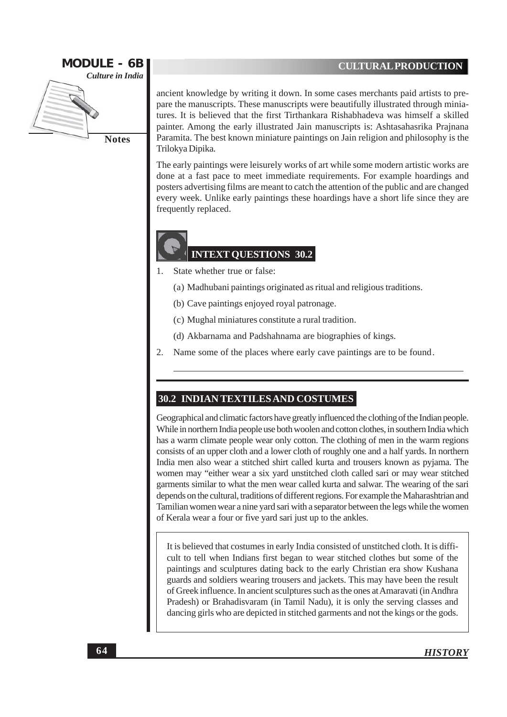

ancient knowledge by writing it down. In some cases merchants paid artists to prepare the manuscripts. These manuscripts were beautifully illustrated through miniatures. It is believed that the first Tirthankara Rishabhadeva was himself a skilled painter. Among the early illustrated Jain manuscripts is: Ashtasahasrika Prajnana Paramita. The best known miniature paintings on Jain religion and philosophy is the Trilokya Dipika.

The early paintings were leisurely works of art while some modern artistic works are done at a fast pace to meet immediate requirements. For example hoardings and posters advertising films are meant to catch the attention of the public and are changed every week. Unlike early paintings these hoardings have a short life since they are frequently replaced.

### **INTEXT QUESTIONS 30.2**

- 1. State whether true or false:
	- (a) Madhubani paintings originated as ritual and religious traditions.
	- (b) Cave paintings enjoyed royal patronage.
	- (c) Mughal miniatures constitute a rural tradition.
	- (d) Akbarnama and Padshahnama are biographies of kings.
- $\overline{2}$ . Name some of the places where early cave paintings are to be found.

#### **30.2 INDIAN TEXTILES AND COSTUMES**

Geographical and climatic factors have greatly influenced the clothing of the Indian people. While in northern India people use both woolen and cotton clothes, in southern India which has a warm climate people wear only cotton. The clothing of men in the warm regions consists of an upper cloth and a lower cloth of roughly one and a half yards. In northern India men also wear a stitched shirt called kurta and trousers known as pyjama. The women may "either wear a six yard unstitched cloth called sari or may wear stitched garments similar to what the men wear called kurta and salwar. The wearing of the sari depends on the cultural, traditions of different regions. For example the Maharashtrian and Tamilian women wear a nine yard sari with a separator between the legs while the women of Kerala wear a four or five yard sari just up to the ankles.

It is believed that costumes in early India consisted of unstitched cloth. It is difficult to tell when Indians first began to wear stitched clothes but some of the paintings and sculptures dating back to the early Christian era show Kushana guards and soldiers wearing trousers and jackets. This may have been the result of Greek influence. In ancient sculptures such as the ones at Amaravati (in Andhra Pradesh) or Brahadisvaram (in Tamil Nadu), it is only the serving classes and dancing girls who are depicted in stitched garments and not the kings or the gods.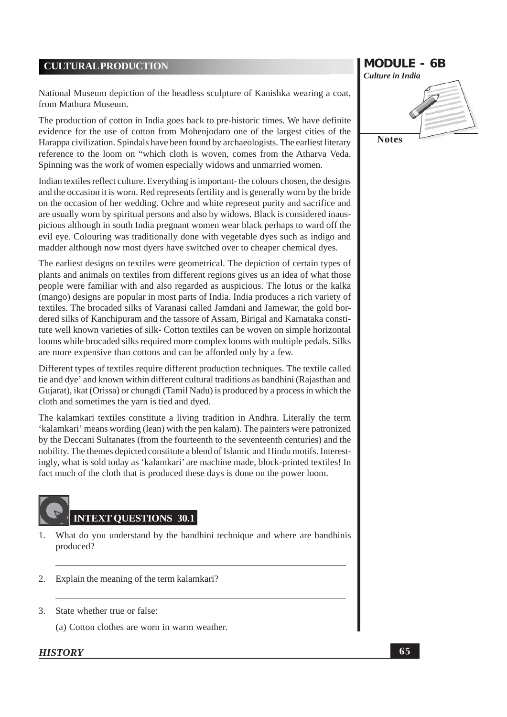National Museum depiction of the headless sculpture of Kanishka wearing a coat, from Mathura Museum.

The production of cotton in India goes back to pre-historic times. We have definite evidence for the use of cotton from Mohenjodaro one of the largest cities of the Harappa civilization. Spindals have been found by archaeologists. The earliest literary reference to the loom on "which cloth is woven, comes from the Atharva Veda. Spinning was the work of women especially widows and unmarried women.

Indian textiles reflect culture. Everything is important- the colours chosen, the designs and the occasion it is worn. Red represents fertility and is generally worn by the bride on the occasion of her wedding. Ochre and white represent purity and sacrifice and are usually worn by spiritual persons and also by widows. Black is considered inauspicious although in south India pregnant women wear black perhaps to ward off the evil eye. Colouring was traditionally done with vegetable dyes such as indigo and madder although now most dyers have switched over to cheaper chemical dyes.

The earliest designs on textiles were geometrical. The depiction of certain types of plants and animals on textiles from different regions gives us an idea of what those people were familiar with and also regarded as auspicious. The lotus or the kalka (mango) designs are popular in most parts of India. India produces a rich variety of textiles. The brocaded silks of Varanasi called Jamdani and Jamewar, the gold bordered silks of Kanchipuram and the tassore of Assam, Birigal and Karnataka constitute well known varieties of silk- Cotton textiles can be woven on simple horizontal looms while brocaded silks required more complex looms with multiple pedals. Silks are more expensive than cottons and can be afforded only by a few.

Different types of textiles require different production techniques. The textile called tie and dye' and known within different cultural traditions as bandhini (Rajasthan and Gujarat), ikat (Orissa) or chungdi (Tamil Nadu) is produced by a process in which the cloth and sometimes the yarn is tied and dyed.

The kalamkari textiles constitute a living tradition in Andhra. Literally the term 'kalamkari' means wording (lean) with the pen kalam). The painters were patronized by the Deccani Sultanates (from the fourteenth to the seventeenth centuries) and the nobility. The themes depicted constitute a blend of Islamic and Hindu motifs. Interestingly, what is sold today as 'kalamkari' are machine made, block-printed textiles! In fact much of the cloth that is produced these days is done on the power loom.



- What do you understand by the bandhini technique and where are bandhinis 1. produced?
- Explain the meaning of the term kalamkari?  $2$ .
- $3.$ State whether true or false:

(a) Cotton clothes are worn in warm weather.

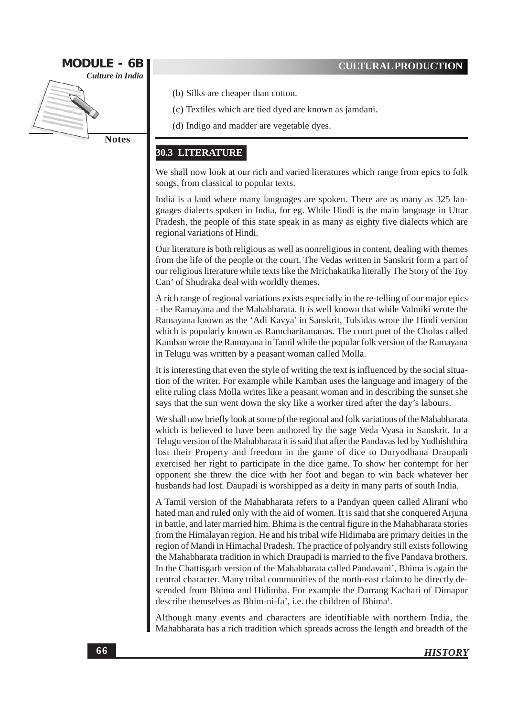

**Notes** 

- (b) Silks are cheaper than cotton.
- (c) Textiles which are tied dyed are known as jamdani.
- (d) Indigo and madder are vegetable dyes.

#### **30.3 LITERATURE**

We shall now look at our rich and varied literatures which range from epics to folk songs, from classical to popular texts.

India is a land where many languages are spoken. There are as many as 325 languages dialects spoken in India, for eg. While Hindi is the main language in Uttar Pradesh, the people of this state speak in as many as eighty five dialects which are regional variations of Hindi.

Our literature is both religious as well as nonreligious in content, dealing with themes from the life of the people or the court. The Vedas written in Sanskrit form a part of our religious literature while texts like the Mrichakatika literally The Story of the Toy Can' of Shudraka deal with worldly themes.

A rich range of regional variations exists especially in the re-telling of our major epics - the Ramayana and the Mahabharata. It is well known that while Valmiki wrote the Ramayana known as the 'Adi Kavya' in Sanskrit, Tulsidas wrote the Hindi version which is popularly known as Ramcharitamanas. The court poet of the Cholas called Kamban wrote the Ramayana in Tamil while the popular folk version of the Ramayana in Telugu was written by a peasant woman called Molla.

It is interesting that even the style of writing the text is influenced by the social situation of the writer. For example while Kamban uses the language and imagery of the elite ruling class Molla writes like a peasant woman and in describing the sunset she says that the sun went down the sky like a worker tired after the day's labours.

We shall now briefly look at some of the regional and folk variations of the Mahabharata which is believed to have been authored by the sage Veda Vyasa in Sanskrit. In a Telugu version of the Mahabharata it is said that after the Pandavas led by Yudhishthira lost their Property and freedom in the game of dice to Duryodhana Draupadi exercised her right to participate in the dice game. To show her contempt for her opponent she threw the dice with her foot and began to win back whatever her husbands had lost. Daupadi is worshipped as a deity in many parts of south India.

A Tamil version of the Mahabharata refers to a Pandyan queen called Alirani who hated man and ruled only with the aid of women. It is said that she conquered Arjuna in battle, and later married him. Bhima is the central figure in the Mahabharata stories from the Himalayan region. He and his tribal wife Hidimaba are primary deities in the region of Mandi in Himachal Pradesh. The practice of polyandry still exists following the Mahabharata tradition in which Draupadi is married to the five Pandava brothers. In the Chattisgarh version of the Mahabharata called Pandavani', Bhima is again the central character. Many tribal communities of the north-east claim to be directly descended from Bhima and Hidimba. For example the Darrang Kachari of Dimapur describe themselves as Bhim-ni-fa', i.e. the children of Bhima<sup>1</sup>.

Although many events and characters are identifiable with northern India, the Mahabharata has a rich tradition which spreads across the length and breadth of the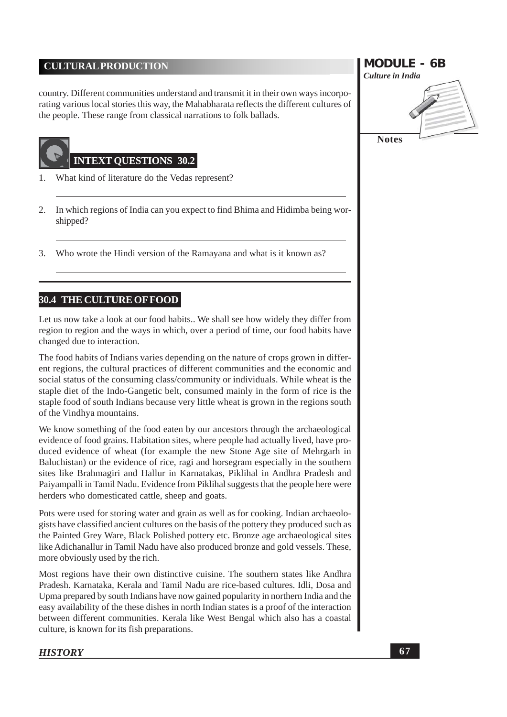country. Different communities understand and transmit it in their own ways incorporating various local stories this way, the Mahabharata reflects the different cultures of the people. These range from classical narrations to folk ballads.



- $\mathbf{1}$ What kind of literature do the Vedas represent?
- 2. In which regions of India can you expect to find Bhima and Hidimba being worshipped?
- Who wrote the Hindi version of the Ramayana and what is it known as? 3.

#### **30.4 THE CULTURE OF FOOD**

Let us now take a look at our food habits.. We shall see how widely they differ from region to region and the ways in which, over a period of time, our food habits have changed due to interaction.

The food habits of Indians varies depending on the nature of crops grown in different regions, the cultural practices of different communities and the economic and social status of the consuming class/community or individuals. While wheat is the staple diet of the Indo-Gangetic belt, consumed mainly in the form of rice is the staple food of south Indians because very little wheat is grown in the regions south of the Vindhya mountains.

We know something of the food eaten by our ancestors through the archaeological evidence of food grains. Habitation sites, where people had actually lived, have produced evidence of wheat (for example the new Stone Age site of Mehrgarh in Baluchistan) or the evidence of rice, ragi and horsegram especially in the southern sites like Brahmagiri and Hallur in Karnatakas, Piklihal in Andhra Pradesh and Paiyampalli in Tamil Nadu. Evidence from Piklihal suggests that the people here were herders who domesticated cattle, sheep and goats.

Pots were used for storing water and grain as well as for cooking. Indian archaeologists have classified ancient cultures on the basis of the pottery they produced such as the Painted Grey Ware, Black Polished pottery etc. Bronze age archaeological sites like Adichanallur in Tamil Nadu have also produced bronze and gold vessels. These, more obviously used by the rich.

Most regions have their own distinctive cuisine. The southern states like Andhra Pradesh. Karnataka, Kerala and Tamil Nadu are rice-based cultures. Idli, Dosa and Upma prepared by south Indians have now gained popularity in northern India and the easy availability of the these dishes in north Indian states is a proof of the interaction between different communities. Kerala like West Bengal which also has a coastal culture, is known for its fish preparations.

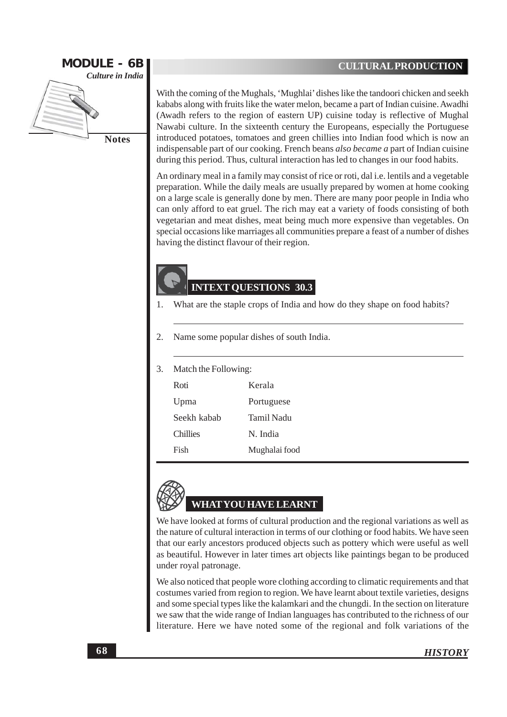

**Notes** 

With the coming of the Mughals, 'Mughlai' dishes like the tandoori chicken and seekh kababs along with fruits like the water melon, became a part of Indian cuisine. Awadhi (Awadh refers to the region of eastern UP) cuisine today is reflective of Mughal Nawabi culture. In the sixteenth century the Europeans, especially the Portuguese introduced potatoes, tomatoes and green chillies into Indian food which is now an indispensable part of our cooking. French beans also became a part of Indian cuisine during this period. Thus, cultural interaction has led to changes in our food habits.

An ordinary meal in a family may consist of rice or roti, dal *i.e.* lentils and a vegetable preparation. While the daily meals are usually prepared by women at home cooking on a large scale is generally done by men. There are many poor people in India who can only afford to eat gruel. The rich may eat a variety of foods consisting of both vegetarian and meat dishes, meat being much more expensive than vegetables. On special occasions like marriages all communities prepare a feast of a number of dishes having the distinct flavour of their region.

#### **INTEXT OUESTIONS 30.3**

- What are the staple crops of India and how do they shape on food habits? 1.
- 2. Name some popular dishes of south India.
- $\overline{3}$ . Match the Following:

| Roti            | Kerala        |
|-----------------|---------------|
| Upma            | Portuguese    |
| Seekh kabab     | Tamil Nadu    |
| <b>Chillies</b> | N. India      |
| Fish            | Mughalai food |



We have looked at forms of cultural production and the regional variations as well as the nature of cultural interaction in terms of our clothing or food habits. We have seen that our early ancestors produced objects such as pottery which were useful as well as beautiful. However in later times art objects like paintings began to be produced under royal patronage.

We also noticed that people wore clothing according to climatic requirements and that costumes varied from region to region. We have learnt about textile varieties, designs and some special types like the kalamkari and the chungdi. In the section on literature we saw that the wide range of Indian languages has contributed to the richness of our literature. Here we have noted some of the regional and folk variations of the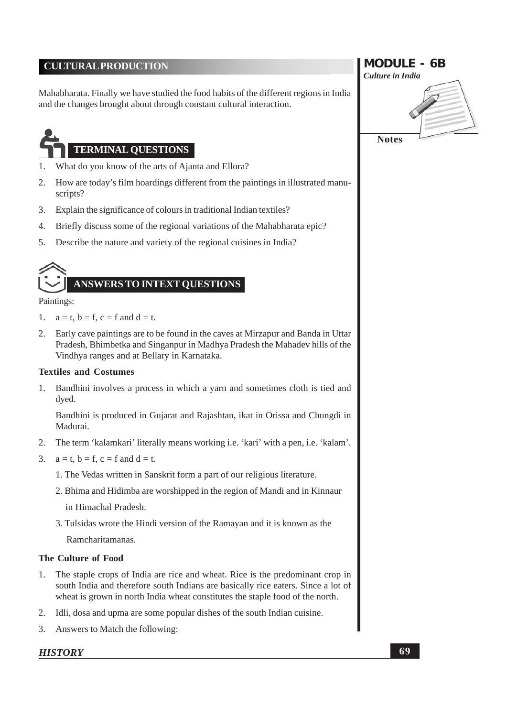Mahabharata. Finally we have studied the food habits of the different regions in India and the changes brought about through constant cultural interaction.

# **TERMINAL OUESTIONS**

- What do you know of the arts of Ajanta and Ellora? 1.
- How are today's film hoardings different from the paintings in illustrated manu- $2.$ scripts?
- Explain the significance of colours in traditional Indian textiles? 3.
- $\overline{4}$ . Briefly discuss some of the regional variations of the Mahabharata epic?
- 5. Describe the nature and variety of the regional cuisines in India?

## ANSWERS TO INTEXT QUESTIONS

#### Paintings:

- $a = t$ ,  $b = f$ ,  $c = f$  and  $d = t$ . 1.
- 2. Early cave paintings are to be found in the caves at Mirzapur and Banda in Uttar Pradesh, Bhimbetka and Singanpur in Madhya Pradesh the Mahadev hills of the Vindhya ranges and at Bellary in Karnataka.

#### **Textiles and Costumes**

1. Bandhini involves a process in which a yarn and sometimes cloth is tied and dyed.

Bandhini is produced in Gujarat and Rajashtan, ikat in Orissa and Chungdi in Madurai

- The term 'kalamkari' literally means working i.e. 'kari' with a pen, i.e. 'kalam'.  $2.$
- 3.  $a = t, b = f, c = f$  and  $d = t$ .
	- 1. The Vedas written in Sanskrit form a part of our religious literature.
	- 2. Bhima and Hidimba are worshipped in the region of Mandi and in Kinnaur
		- in Himachal Pradesh.
	- 3. Tulsidas wrote the Hindi version of the Ramayan and it is known as the

Ramcharitamanas.

#### The Culture of Food

- 1. The staple crops of India are rice and wheat. Rice is the predominant crop in south India and therefore south Indians are basically rice eaters. Since a lot of wheat is grown in north India wheat constitutes the staple food of the north.
- $2.$ Idli, dosa and upma are some popular dishes of the south Indian cuisine.
- 3. Answers to Match the following:

#### **HISTORY**